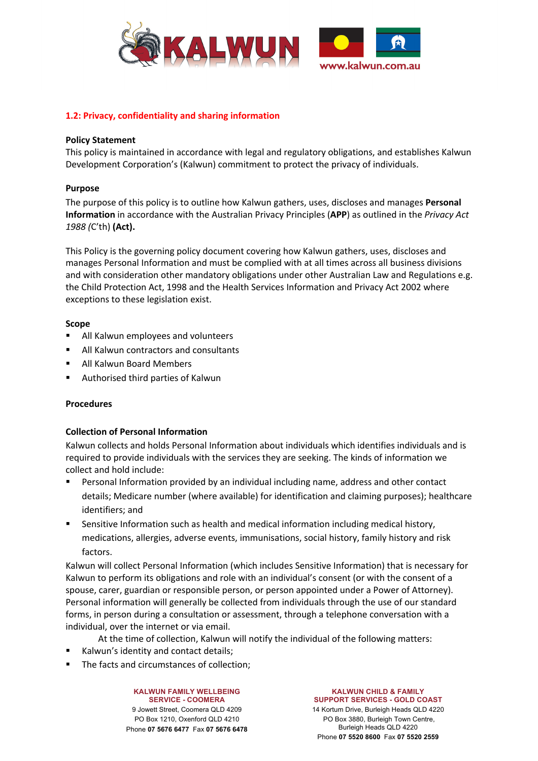

# **1.2: Privacy, confidentiality and sharing information**

## **Policy Statement**

This policy is maintained in accordance with legal and regulatory obligations, and establishes Kalwun Development Corporation's (Kalwun) commitment to protect the privacy of individuals.

#### **Purpose**

The purpose of this policy is to outline how Kalwun gathers, uses, discloses and manages **Personal Information** in accordance with the Australian Privacy Principles (**APP**) as outlined in the *Privacy Act 1988 (*C'th) **(Act).**

This Policy is the governing policy document covering how Kalwun gathers, uses, discloses and manages Personal Information and must be complied with at all times across all business divisions and with consideration other mandatory obligations under other Australian Law and Regulations e.g. the Child Protection Act, 1998 and the Health Services Information and Privacy Act 2002 where exceptions to these legislation exist.

#### **Scope**

- All Kalwun employees and volunteers
- All Kalwun contractors and consultants
- All Kalwun Board Members
- Authorised third parties of Kalwun

## **Procedures**

## **Collection of Personal Information**

Kalwun collects and holds Personal Information about individuals which identifies individuals and is required to provide individuals with the services they are seeking. The kinds of information we collect and hold include:

- § Personal Information provided by an individual including name, address and other contact details; Medicare number (where available) for identification and claiming purposes); healthcare identifiers; and
- Sensitive Information such as health and medical information including medical history, medications, allergies, adverse events, immunisations, social history, family history and risk factors.

Kalwun will collect Personal Information (which includes Sensitive Information) that is necessary for Kalwun to perform its obligations and role with an individual's consent (or with the consent of a spouse, carer, guardian or responsible person, or person appointed under a Power of Attorney). Personal information will generally be collected from individuals through the use of our standard forms, in person during a consultation or assessment, through a telephone conversation with a individual, over the internet or via email.

At the time of collection, Kalwun will notify the individual of the following matters:

- Kalwun's identity and contact details;
- The facts and circumstances of collection;

**KALWUN FAMILY WELLBEING SERVICE - COOMERA**

9 Jowett Street, Coomera QLD 4209 PO Box 1210, Oxenford QLD 4210 Phone **07 5676 6477** Fax **07 5676 6478**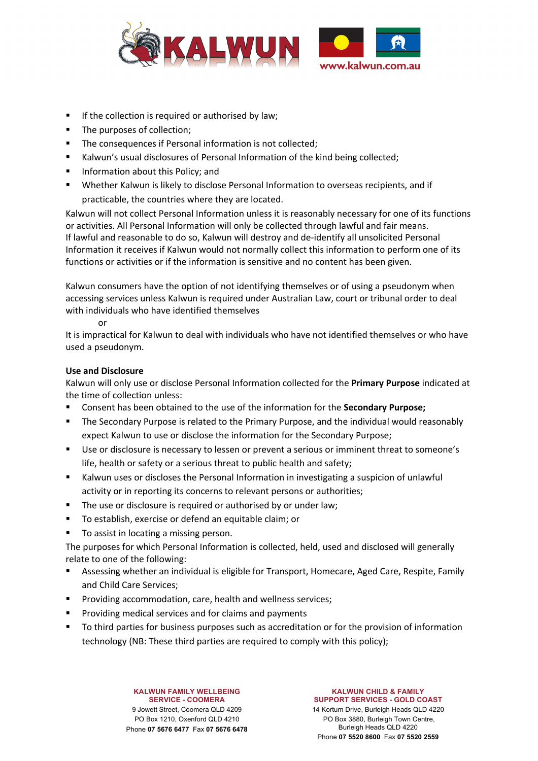

- **EXECT** If the collection is required or authorised by law:
- The purposes of collection;
- The consequences if Personal information is not collected;
- § Kalwun's usual disclosures of Personal Information of the kind being collected;
- Information about this Policy; and
- § Whether Kalwun is likely to disclose Personal Information to overseas recipients, and if practicable, the countries where they are located.

Kalwun will not collect Personal Information unless it is reasonably necessary for one of its functions or activities. All Personal Information will only be collected through lawful and fair means. If lawful and reasonable to do so, Kalwun will destroy and de-identify all unsolicited Personal Information it receives if Kalwun would not normally collect this information to perform one of its functions or activities or if the information is sensitive and no content has been given.

Kalwun consumers have the option of not identifying themselves or of using a pseudonym when accessing services unless Kalwun is required under Australian Law, court or tribunal order to deal with individuals who have identified themselves

or

It is impractical for Kalwun to deal with individuals who have not identified themselves or who have used a pseudonym.

# **Use and Disclosure**

Kalwun will only use or disclose Personal Information collected for the **Primary Purpose** indicated at the time of collection unless:

- § Consent has been obtained to the use of the information for the **Secondary Purpose;**
- The Secondary Purpose is related to the Primary Purpose, and the individual would reasonably expect Kalwun to use or disclose the information for the Secondary Purpose;
- Use or disclosure is necessary to lessen or prevent a serious or imminent threat to someone's life, health or safety or a serious threat to public health and safety;
- Kalwun uses or discloses the Personal Information in investigating a suspicion of unlawful activity or in reporting its concerns to relevant persons or authorities;
- The use or disclosure is required or authorised by or under law;
- To establish, exercise or defend an equitable claim; or
- To assist in locating a missing person.

The purposes for which Personal Information is collected, held, used and disclosed will generally relate to one of the following:

- § Assessing whether an individual is eligible for Transport, Homecare, Aged Care, Respite, Family and Child Care Services;
- Providing accommodation, care, health and wellness services;
- § Providing medical services and for claims and payments
- To third parties for business purposes such as accreditation or for the provision of information technology (NB: These third parties are required to comply with this policy);

**KALWUN FAMILY WELLBEING SERVICE - COOMERA**

9 Jowett Street, Coomera QLD 4209 PO Box 1210, Oxenford QLD 4210 Phone **07 5676 6477** Fax **07 5676 6478**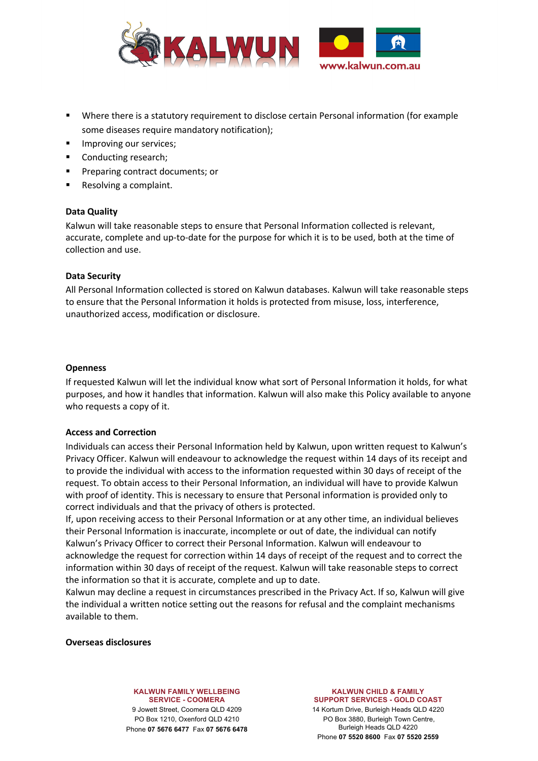

- § Where there is a statutory requirement to disclose certain Personal information (for example some diseases require mandatory notification);
- § Improving our services;
- Conducting research;
- Preparing contract documents; or
- Resolving a complaint.

## **Data Quality**

Kalwun will take reasonable steps to ensure that Personal Information collected is relevant, accurate, complete and up-to-date for the purpose for which it is to be used, both at the time of collection and use.

## **Data Security**

All Personal Information collected is stored on Kalwun databases. Kalwun will take reasonable steps to ensure that the Personal Information it holds is protected from misuse, loss, interference, unauthorized access, modification or disclosure.

#### **Openness**

If requested Kalwun will let the individual know what sort of Personal Information it holds, for what purposes, and how it handles that information. Kalwun will also make this Policy available to anyone who requests a copy of it.

## **Access and Correction**

Individuals can access their Personal Information held by Kalwun, upon written request to Kalwun's Privacy Officer. Kalwun will endeavour to acknowledge the request within 14 days of its receipt and to provide the individual with access to the information requested within 30 days of receipt of the request. To obtain access to their Personal Information, an individual will have to provide Kalwun with proof of identity. This is necessary to ensure that Personal information is provided only to correct individuals and that the privacy of others is protected.

If, upon receiving access to their Personal Information or at any other time, an individual believes their Personal Information is inaccurate, incomplete or out of date, the individual can notify Kalwun's Privacy Officer to correct their Personal Information. Kalwun will endeavour to acknowledge the request for correction within 14 days of receipt of the request and to correct the information within 30 days of receipt of the request. Kalwun will take reasonable steps to correct the information so that it is accurate, complete and up to date.

Kalwun may decline a request in circumstances prescribed in the Privacy Act. If so, Kalwun will give the individual a written notice setting out the reasons for refusal and the complaint mechanisms available to them.

## **Overseas disclosures**

**KALWUN FAMILY WELLBEING SERVICE - COOMERA**

9 Jowett Street, Coomera QLD 4209 PO Box 1210, Oxenford QLD 4210 Phone **07 5676 6477** Fax **07 5676 6478**